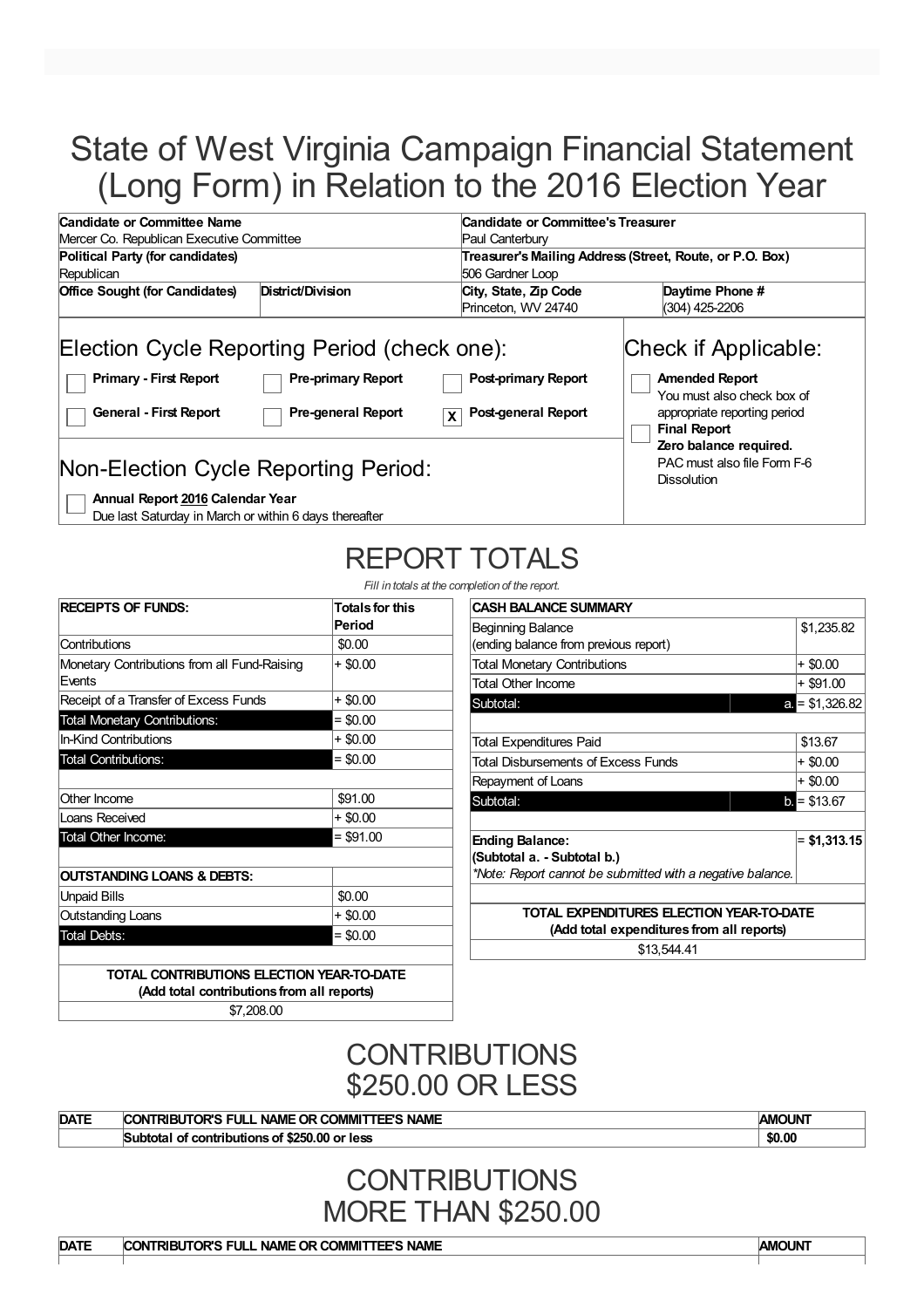# State of West Virginia Campaign Financial Statement (Long Form) in Relation to the 2016 Election Year

| Candidate or Committee Name                                                                                    |                                                        |                                                        | Candidate or Committee's Treasurer                                                                                                                           |  |  |  |  |
|----------------------------------------------------------------------------------------------------------------|--------------------------------------------------------|--------------------------------------------------------|--------------------------------------------------------------------------------------------------------------------------------------------------------------|--|--|--|--|
| Mercer Co. Republican Executive Committee                                                                      |                                                        | Paul Canterbury                                        |                                                                                                                                                              |  |  |  |  |
| Political Party (for candidates)                                                                               |                                                        |                                                        | Treasurer's Mailing Address (Street, Route, or P.O. Box)                                                                                                     |  |  |  |  |
| Republican                                                                                                     |                                                        | 506 Gardner Loop                                       |                                                                                                                                                              |  |  |  |  |
| <b>Office Sought (for Candidates)</b>                                                                          | District/Division                                      | City, State, Zip Code                                  | Daytime Phone #                                                                                                                                              |  |  |  |  |
|                                                                                                                |                                                        | Princeton, WV 24740                                    | (304) 425-2206                                                                                                                                               |  |  |  |  |
| Election Cycle Reporting Period (check one):<br><b>Primary - First Report</b><br><b>General - First Report</b> | <b>Pre-primary Report</b><br><b>Pre-general Report</b> | <b>Post-primary Report</b><br>Post-general Report<br>X | Check if Applicable:<br><b>Amended Report</b><br>You must also check box of<br>appropriate reporting period<br><b>Final Report</b><br>Zero balance required. |  |  |  |  |
| Non-Election Cycle Reporting Period:<br>Annual Report 2016 Calendar Year                                       |                                                        |                                                        | PAC must also file Form F-6<br><b>Dissolution</b>                                                                                                            |  |  |  |  |

Due last Saturday in March or within 6 days thereafter

# REPORT TOTALS

*Fill in totals at the completion of the reports* 

| <b>RECEIPTS OF FUNDS:</b>                              | <b>Totals for this</b><br>Period |
|--------------------------------------------------------|----------------------------------|
| Contributions                                          | \$0.00                           |
| Monetary Contributions from all Fund-Raising<br>Events | + \$0.00                         |
| Receipt of a Transfer of Excess Funds                  | + \$0.00                         |
| <b>Total Monetary Contributions:</b>                   | $=$ \$0.00                       |
| <b>In-Kind Contributions</b>                           | + \$0.00                         |
| <b>Total Contributions:</b>                            | $= $0.00$                        |
| Other Income                                           | \$91.00                          |
| Loans Received                                         | + \$0.00                         |
| Total Other Income:                                    | $=$ \$91.00                      |
| <b>OUTSTANDING LOANS &amp; DEBTS:</b>                  |                                  |
| <b>Unpaid Bills</b>                                    | \$0.00                           |
| <b>Outstanding Loans</b>                               | + \$0.00                         |
| <b>Total Debts:</b>                                    | $=$ \$0.00                       |

| detion of the report.                                      |                 |  |  |  |
|------------------------------------------------------------|-----------------|--|--|--|
| <b>CASH BALANCE SUMMARY</b>                                |                 |  |  |  |
| Beginning Balance                                          | \$1,235.82      |  |  |  |
| (ending balance from previous report)                      |                 |  |  |  |
| <b>Total Monetary Contributions</b>                        | $+$ \$0.00      |  |  |  |
| <b>Total Other Income</b>                                  | $+$ \$91.00     |  |  |  |
| Subtotal:                                                  | $a = $1,326.82$ |  |  |  |
|                                                            |                 |  |  |  |
| Total Expenditures Paid                                    | \$13.67         |  |  |  |
| Total Disbursements of Excess Funds                        | $+$ \$0.00      |  |  |  |
| Repayment of Loans                                         | $+$ \$0.00      |  |  |  |
| Subtotal:                                                  | $b = $13.67$    |  |  |  |
|                                                            |                 |  |  |  |
| <b>Ending Balance:</b>                                     | $=$ \$1,313.15  |  |  |  |
| (Subtotal a. - Subtotal b.)                                |                 |  |  |  |
| *Note: Report cannot be submitted with a negative balance. |                 |  |  |  |
|                                                            |                 |  |  |  |
| TOTAL EXPENDITURES ELECTION YEAR-TO-DATE                   |                 |  |  |  |
| (Add total expenditures from all reports)                  |                 |  |  |  |
| \$13.544.41                                                |                 |  |  |  |

**TOTAL CONTRIBUTIONS ELECTION YEAR-TO-DATE (Add total contributions from all reports)**

\$7,208.00

## **CONTRIBUTIONS** \$250.00 OR LESS

| <b>DATE</b> | <b>NAME</b><br>יסו<br>31 II<br>nR L<br>אר<br>IMMC<br>NAMH    | MOLIN'<br>IАN |
|-------------|--------------------------------------------------------------|---------------|
|             | of \$250.00<br>Subtot<br>or<br>∵less<br>∶ contributions<br>c | \$0.00        |

### **CONTRIBUTIONS** MORE THAN \$250.00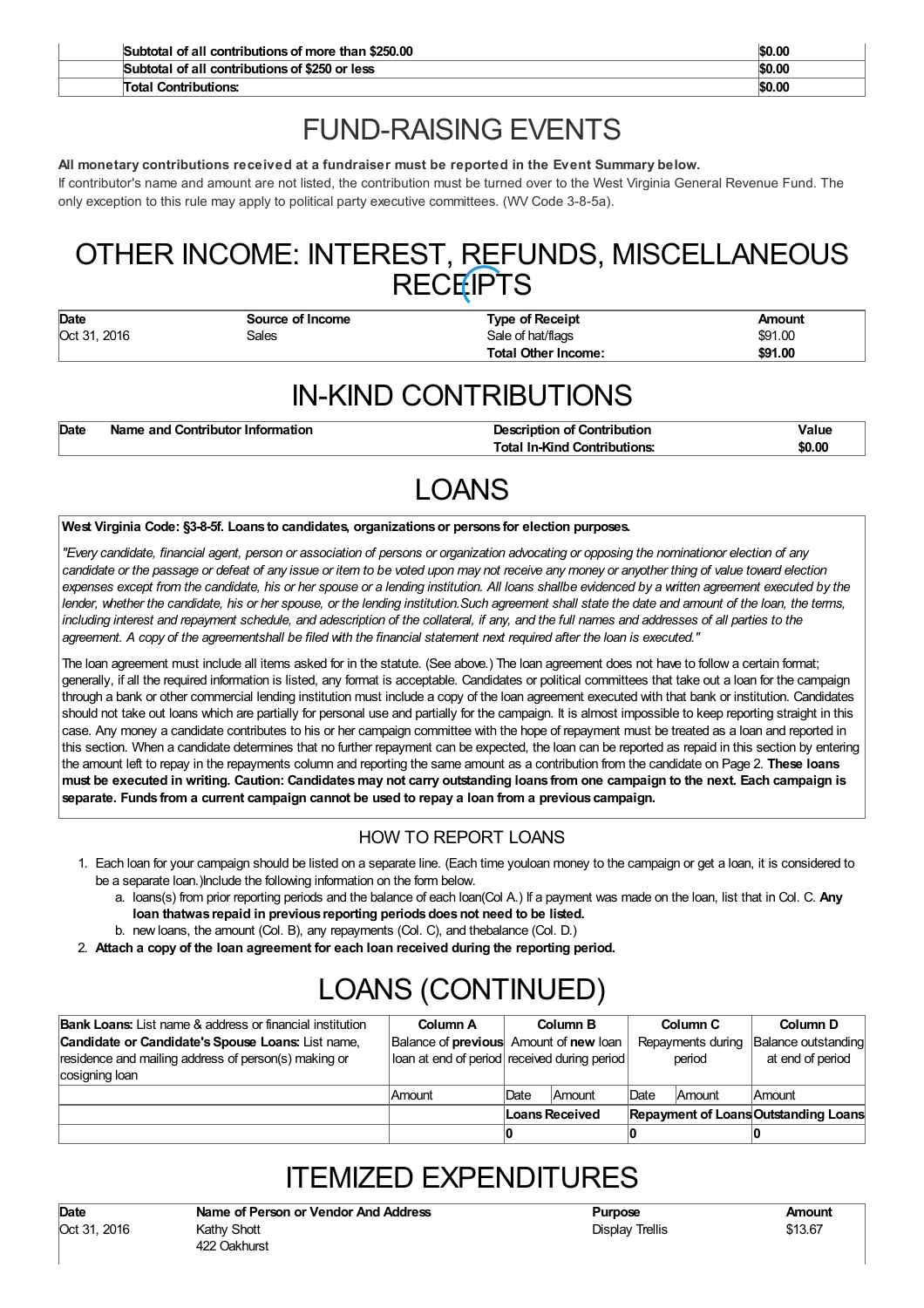| Subtotal of all contributions of more than \$250,00 | \$0.00 |
|-----------------------------------------------------|--------|
| Subtotal of all contributions of \$250 or less      | \$0.00 |
| Total Contributions:                                | \$0.00 |

## FUND-RAISING EVENTS

### **All monetary contributions received at a fundraiser must be reported in the Event Summary below.**

If contributor's name and amount are not listed, the contribution must be turned over to the West Virginia General Revenue Fund. The only exception to this rule may apply to political party executive committees. (WV Code 3-8-5a).

## OTHER INCOME: INTEREST, REFUNDS, MISCELLANEOUS RECEIPTS

| Date         | Source of Income           | <b>Type of Receipt</b>     | Amount  |
|--------------|----------------------------|----------------------------|---------|
| Oct 31, 2016 | Sale of hat/flags<br>Sales |                            | \$91.00 |
|              |                            | <b>Total Other Income:</b> | \$91.00 |

## IN-KIND CONTRIBUTIONS

| Date | Name and Contributor Information | <b>Description of Contribution</b>  | Valuc  |
|------|----------------------------------|-------------------------------------|--------|
|      |                                  | <b>Total In-Kind Contributions:</b> | \$0.00 |

## LOANS

#### **West Virginia Code: §3-8-5f. Loans to candidates, organizationsor persons for election purposes.**

"Every candidate, financial agent, person or association of persons or organization advocating or opposing the nominationor election of any candidate or the passage or defeat of any issue or item to be voted upon may not receive any money or anyother thing of value toward election expenses except from the candidate, his or her spouse or a lending institution. All loans shallbe evidenced by a written agreement executed by the lender, whether the candidate, his or her spouse, or the lending institution. Such agreement shall state the date and amount of the loan, the terms, including interest and repayment schedule, and adescription of the collateral, if any, and the full names and addresses of all parties to the agreement. A copy of the agreementshall be filed with the financial statement next required after the loan is executed."

The loan agreement must include all items asked for in the statute. (See above.) The loan agreement does not have to follow a certain format; generally, if all the required information is listed, any format is acceptable. Candidates or political committees that take out a loan for the campaign through a bank or other commercial lending institution must include a copy of the loan agreement executed with that bank or institution. Candidates should not take out loans which are partially for personal use and partially for the campaign. It is almost impossible to keep reporting straight in this case. Any money a candidate contributes to his or her campaign committee with the hope of repayment must be treated as a loan and reported in this section. When a candidate determines that no further repayment can be expected, the loan can be reported as repaid in this section by entering the amount left to repay in the repayments column and reporting the same amount as a contribution from the candidate on Page 2. **These loans** must be executed in writing. Caution: Candidates may not carry outstanding loans from one campaign to the next. Each campaign is **separate. Funds from a current campaign cannot be used to repay a loan from a previous campaign.**

### HOW TO REPORT LOANS

- 1. Each loan for your campaign should be listed on a separate line. (Each time youloan money to the campaign or get a loan, it is considered to be a separate loan.)Include the following information on the form below.
	- a. loans(s) from prior reporting periods and the balance of each loan(Col A.) If a payment was made on the loan, list that in Col. C. **Any loan thatwas repaid in previous reporting periodsdoesnot need to be listed.**
	- b. new loans, the amount (Col. B), any repayments (Col. C), and thebalance (Col. D.)
- 2. **Attach a copy of the loan agreement for each loan received during the reporting period.**

# LOANS (CONTINUED)

| <b>Bank Loans:</b> List name & address or financial institution | Column A |                                               | Column B      |                                             | Column C | Column D            |
|-----------------------------------------------------------------|----------|-----------------------------------------------|---------------|---------------------------------------------|----------|---------------------|
| Candidate or Candidate's Spouse Loans: List name,               |          | Balance of <b>previous</b> Amount of new loan |               | Repayments during                           |          | Balance outstanding |
| residence and mailing address of person(s) making or            |          | loan at end of period received during period  |               | period                                      |          | at end of period    |
| cosigning loan                                                  |          |                                               |               |                                             |          |                     |
|                                                                 | Amount   | <b>Date</b>                                   | <b>Amount</b> | Date                                        | Amount   | <b>Amount</b>       |
|                                                                 |          | Loans Received                                |               | <b>Repayment of Loans Outstanding Loans</b> |          |                     |
|                                                                 |          |                                               |               |                                             |          |                     |

## ITEMIZED EXPENDITURES